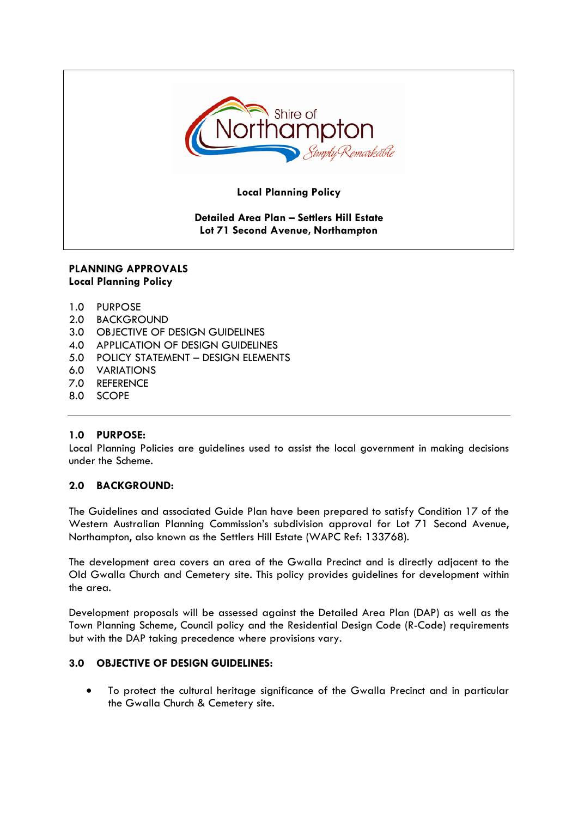

**Local Planning Policy**

# **Detailed Area Plan – Settlers Hill Estate Lot 71 Second Avenue, Northampton**

# **PLANNING APPROVALS Local Planning Policy**

- 1.0 PURPOSE
- 2.0 BACKGROUND
- 3.0 OBJECTIVE OF DESIGN GUIDELINES
- 4.0 APPLICATION OF DESIGN GUIDELINES
- 5.0 POLICY STATEMENT DESIGN ELEMENTS
- 6.0 VARIATIONS
- 7.0 REFERENCE
- 8.0 SCOPE

# **1.0 PURPOSE:**

Local Planning Policies are guidelines used to assist the local government in making decisions under the Scheme.

# **2.0 BACKGROUND:**

The Guidelines and associated Guide Plan have been prepared to satisfy Condition 17 of the Western Australian Planning Commission's subdivision approval for Lot 71 Second Avenue, Northampton, also known as the Settlers Hill Estate (WAPC Ref: 133768).

The development area covers an area of the Gwalla Precinct and is directly adjacent to the Old Gwalla Church and Cemetery site. This policy provides guidelines for development within the area.

Development proposals will be assessed against the Detailed Area Plan (DAP) as well as the Town Planning Scheme, Council policy and the Residential Design Code (R-Code) requirements but with the DAP taking precedence where provisions vary.

# **3.0 OBJECTIVE OF DESIGN GUIDELINES:**

• To protect the cultural heritage significance of the Gwalla Precinct and in particular the Gwalla Church & Cemetery site.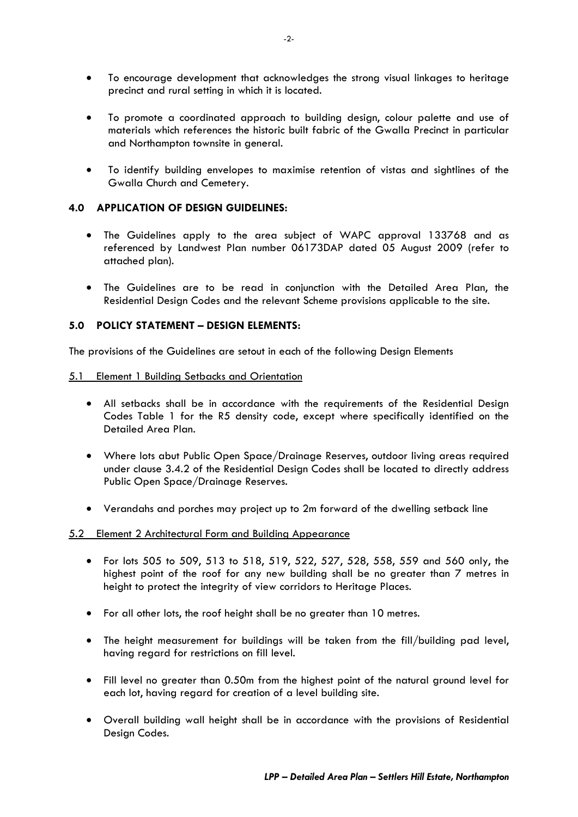- To encourage development that acknowledges the strong visual linkages to heritage precinct and rural setting in which it is located.
- To promote a coordinated approach to building design, colour palette and use of materials which references the historic built fabric of the Gwalla Precinct in particular and Northampton townsite in general.
- To identify building envelopes to maximise retention of vistas and sightlines of the Gwalla Church and Cemetery.

# **4.0 APPLICATION OF DESIGN GUIDELINES:**

- The Guidelines apply to the area subject of WAPC approval 133768 and as referenced by Landwest Plan number 06173DAP dated 05 August 2009 (refer to attached plan).
- The Guidelines are to be read in conjunction with the Detailed Area Plan, the Residential Design Codes and the relevant Scheme provisions applicable to the site.

# **5.0 POLICY STATEMENT – DESIGN ELEMENTS:**

The provisions of the Guidelines are setout in each of the following Design Elements

#### 5.1 Element 1 Building Setbacks and Orientation

- All setbacks shall be in accordance with the requirements of the Residential Design Codes Table 1 for the R5 density code, except where specifically identified on the Detailed Area Plan.
- Where lots abut Public Open Space/Drainage Reserves, outdoor living areas required under clause 3.4.2 of the Residential Design Codes shall be located to directly address Public Open Space/Drainage Reserves.
- Verandahs and porches may project up to 2m forward of the dwelling setback line

#### 5.2 Element 2 Architectural Form and Building Appearance

- For lots 505 to 509, 513 to 518, 519, 522, 527, 528, 558, 559 and 560 only, the highest point of the roof for any new building shall be no greater than 7 metres in height to protect the integrity of view corridors to Heritage Places.
- For all other lots, the roof height shall be no greater than 10 metres.
- The height measurement for buildings will be taken from the fill/building pad level, having regard for restrictions on fill level.
- Fill level no greater than 0.50m from the highest point of the natural ground level for each lot, having regard for creation of a level building site.
- Overall building wall height shall be in accordance with the provisions of Residential Design Codes.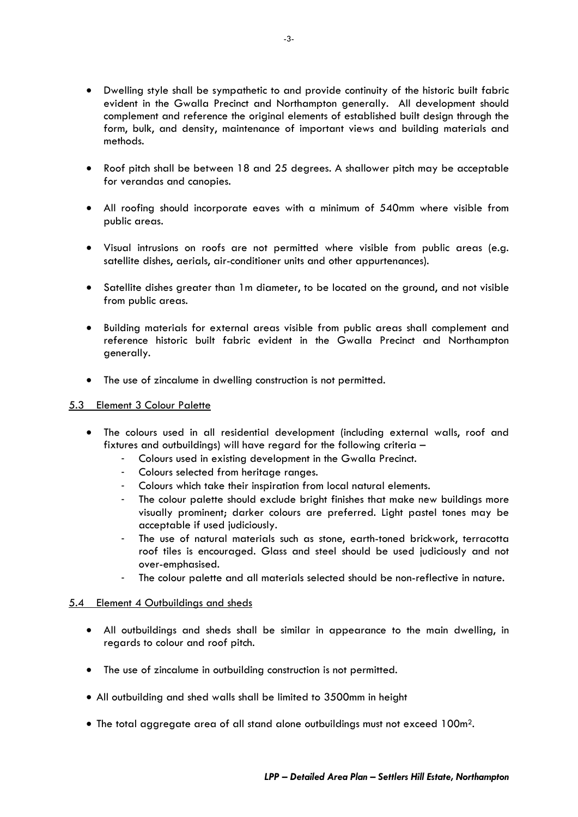- Dwelling style shall be sympathetic to and provide continuity of the historic built fabric evident in the Gwalla Precinct and Northampton generally. All development should complement and reference the original elements of established built design through the form, bulk, and density, maintenance of important views and building materials and methods.
- Roof pitch shall be between 18 and 25 degrees. A shallower pitch may be acceptable for verandas and canopies.
- All roofing should incorporate eaves with a minimum of 540mm where visible from public areas.
- Visual intrusions on roofs are not permitted where visible from public areas (e.g. satellite dishes, aerials, air-conditioner units and other appurtenances).
- Satellite dishes greater than 1m diameter, to be located on the ground, and not visible from public areas.
- Building materials for external areas visible from public areas shall complement and reference historic built fabric evident in the Gwalla Precinct and Northampton generally.
- The use of zincalume in dwelling construction is not permitted.

### 5.3 Element 3 Colour Palette

- The colours used in all residential development (including external walls, roof and fixtures and outbuildings) will have regard for the following criteria –
	- Colours used in existing development in the Gwalla Precinct.
	- Colours selected from heritage ranges.
	- Colours which take their inspiration from local natural elements.
	- The colour palette should exclude bright finishes that make new buildings more visually prominent; darker colours are preferred. Light pastel tones may be acceptable if used judiciously.
	- The use of natural materials such as stone, earth-toned brickwork, terracotta roof tiles is encouraged. Glass and steel should be used judiciously and not over-emphasised.
	- The colour palette and all materials selected should be non-reflective in nature.

#### 5.4 Element 4 Outbuildings and sheds

- All outbuildings and sheds shall be similar in appearance to the main dwelling, in regards to colour and roof pitch.
- The use of zincalume in outbuilding construction is not permitted.
- All outbuilding and shed walls shall be limited to 3500mm in height
- The total aggregate area of all stand alone outbuildings must not exceed 100m<sup>2</sup>.